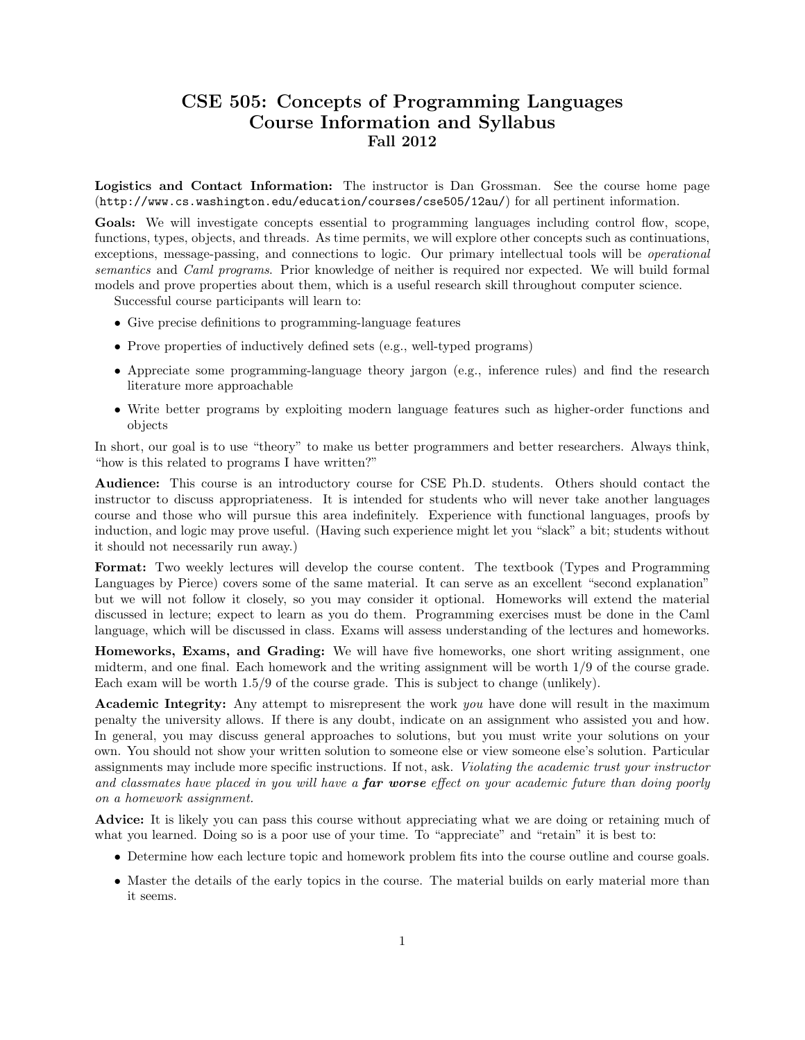## CSE 505: Concepts of Programming Languages Course Information and Syllabus Fall 2012

Logistics and Contact Information: The instructor is Dan Grossman. See the course home page (http://www.cs.washington.edu/education/courses/cse505/12au/) for all pertinent information.

Goals: We will investigate concepts essential to programming languages including control flow, scope, functions, types, objects, and threads. As time permits, we will explore other concepts such as continuations, exceptions, message-passing, and connections to logic. Our primary intellectual tools will be operational semantics and Caml programs. Prior knowledge of neither is required nor expected. We will build formal models and prove properties about them, which is a useful research skill throughout computer science.

Successful course participants will learn to:

- Give precise definitions to programming-language features
- Prove properties of inductively defined sets (e.g., well-typed programs)
- Appreciate some programming-language theory jargon (e.g., inference rules) and find the research literature more approachable
- Write better programs by exploiting modern language features such as higher-order functions and objects

In short, our goal is to use "theory" to make us better programmers and better researchers. Always think, "how is this related to programs I have written?"

Audience: This course is an introductory course for CSE Ph.D. students. Others should contact the instructor to discuss appropriateness. It is intended for students who will never take another languages course and those who will pursue this area indefinitely. Experience with functional languages, proofs by induction, and logic may prove useful. (Having such experience might let you "slack" a bit; students without it should not necessarily run away.)

Format: Two weekly lectures will develop the course content. The textbook (Types and Programming Languages by Pierce) covers some of the same material. It can serve as an excellent "second explanation" but we will not follow it closely, so you may consider it optional. Homeworks will extend the material discussed in lecture; expect to learn as you do them. Programming exercises must be done in the Caml language, which will be discussed in class. Exams will assess understanding of the lectures and homeworks.

Homeworks, Exams, and Grading: We will have five homeworks, one short writing assignment, one midterm, and one final. Each homework and the writing assignment will be worth 1/9 of the course grade. Each exam will be worth 1.5/9 of the course grade. This is subject to change (unlikely).

**Academic Integrity:** Any attempt to misrepresent the work you have done will result in the maximum penalty the university allows. If there is any doubt, indicate on an assignment who assisted you and how. In general, you may discuss general approaches to solutions, but you must write your solutions on your own. You should not show your written solution to someone else or view someone else's solution. Particular assignments may include more specific instructions. If not, ask. Violating the academic trust your instructor and classmates have placed in you will have a **far worse** effect on your academic future than doing poorly on a homework assignment.

Advice: It is likely you can pass this course without appreciating what we are doing or retaining much of what you learned. Doing so is a poor use of your time. To "appreciate" and "retain" it is best to:

- Determine how each lecture topic and homework problem fits into the course outline and course goals.
- Master the details of the early topics in the course. The material builds on early material more than it seems.